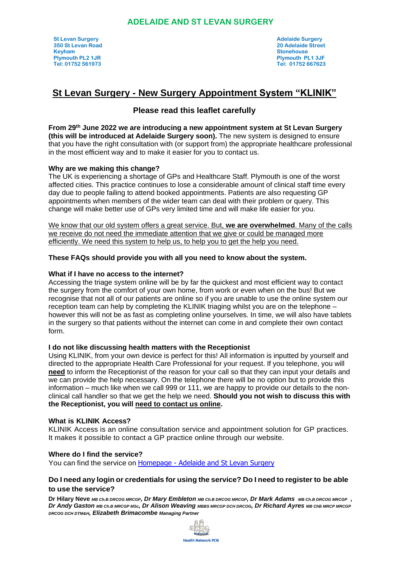## **ADELAIDE AND ST LEVAN SURGERY**

# **St Levan Surgery - New Surgery Appointment System "KLINIK"**

# **Please read this leaflet carefully**

**From 29th June 2022 we are introducing a new appointment system at St Levan Surgery (this will be introduced at Adelaide Surgery soon).** The new system is designed to ensure that you have the right consultation with (or support from) the appropriate healthcare professional in the most efficient way and to make it easier for you to contact us.

## **Why are we making this change?**

The UK is experiencing a shortage of GPs and Healthcare Staff. Plymouth is one of the worst affected cities. This practice continues to lose a considerable amount of clinical staff time every day due to people failing to attend booked appointments. Patients are also requesting GP appointments when members of the wider team can deal with their problem or query. This change will make better use of GPs very limited time and will make life easier for you.

We know that our old system offers a great service. But, **we are overwhelmed**. Many of the calls we receive do not need the immediate attention that we give or could be managed more efficiently. We need this system to help us, to help you to get the help you need.

## **These FAQs should provide you with all you need to know about the system.**

## **What if I have no access to the internet?**

Accessing the triage system online will be by far the quickest and most efficient way to contact the surgery from the comfort of your own home, from work or even when on the bus! But we recognise that not all of our patients are online so if you are unable to use the online system our reception team can help by completing the KLINIK triaging whilst you are on the telephone – however this will not be as fast as completing online yourselves. In time, we will also have tablets in the surgery so that patients without the internet can come in and complete their own contact form.

### **I do not like discussing health matters with the Receptionist**

Using KLINIK, from your own device is perfect for this! All information is inputted by yourself and directed to the appropriate Health Care Professional for your request. If you telephone, you will **need** to inform the Receptionist of the reason for your call so that they can input your details and we can provide the help necessary. On the telephone there will be no option but to provide this information – much like when we call 999 or 111, we are happy to provide our details to the nonclinical call handler so that we get the help we need. **Should you not wish to discuss this with the Receptionist, you will need to contact us online.** 

### **What is KLINIK Access?**

KLINIK Access is an online consultation service and appointment solution for GP practices. It makes it possible to contact a GP practice online through our website.

### **Where do I find the service?**

You can find the service on Homepage - [Adelaide and St Levan Surgery](https://www.stlevansurgery.nhs.uk/)

## **Do I need any login or credentials for using the service? Do I need to register to be able to use the service?**

**Dr Hilary Neve** *MB Ch.B DRCOG MRCGP, Dr Mary Embleton MB Ch.B DRCOG MRCGP, Dr Mark Adams MB Ch.B DRCOG MRCGP , Dr Andy Gaston MB Ch.B MRCGP MSc, Dr Alison Weaving MBBS MRCGP DCH DRCOG, Dr Richard Ayres MB ChB MRCP MRCGP DRCOG DCH DTM&H, Elizabeth Brimacombe Managing Partner*

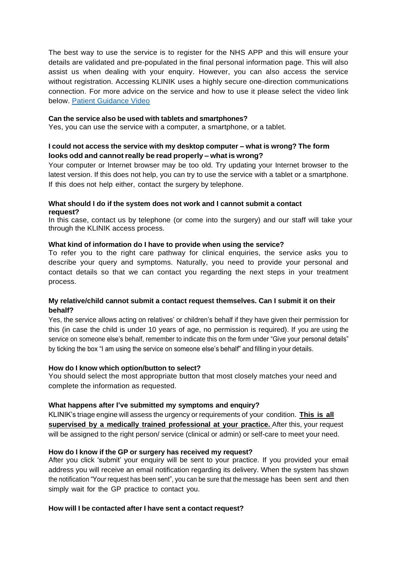The best way to use the service is to register for the NHS APP and this will ensure your details are validated and pre-populated in the final personal information page. This will also assist us when dealing with your enquiry. However, you can also access the service without registration. Accessing KLINIK uses a highly secure one-direction communications connection. For more advice on the service and how to use it please select the video link below. [Patient Guidance Video](https://vimeo.com/647283719/70ce9273ab)

#### **Can the service also be used with tablets and smartphones?**

Yes, you can use the service with a computer, a smartphone, or a tablet.

## **I could not access the service with my desktop computer – what is wrong? The form looks odd and cannotreally be read properly – what is wrong?**

Your computer or Internet browser may be too old. Try updating your Internet browser to the latest version. If this does not help, you can try to use the service with a tablet or a smartphone. If this does not help either, contact the surgery by telephone.

## **What should I do if the system does not work and I cannot submit a contact request?**

In this case, contact us by telephone (or come into the surgery) and our staff will take your through the KLINIK access process.

#### **What kind of information do I have to provide when using the service?**

To refer you to the right care pathway for clinical enquiries, the service asks you to describe your query and symptoms. Naturally, you need to provide your personal and contact details so that we can contact you regarding the next steps in your treatment process.

## **My relative/child cannot submit a contact request themselves. Can I submit it on their behalf?**

Yes, the service allows acting on relatives' or children's behalf if they have given their permission for this (in case the child is under 10 years of age, no permission is required). If you are using the service on someone else's behalf, remember to indicate this on the form under "Give your personal details" by ticking the box "I am using the service on someone else's behalf" and filling in your details.

### **How do I know which option/button to select?**

You should select the most appropriate button that most closely matches your need and complete the information as requested.

### **What happens after I've submitted my symptoms and enquiry?**

KLINIK's triage engine will assess the urgency or requirements of your condition. **This is all supervised by a medically trained professional at your practice.** After this, your request will be assigned to the right person/ service (clinical or admin) or self-care to meet your need.

### **How do I know if the GP or surgery has received my request?**

After you click 'submit' your enquiry will be sent to your practice. If you provided your email address you will receive an email notification regarding its delivery. When the system has shown the notification "Your request has been sent", you can be sure that the message has been sent and then simply wait for the GP practice to contact you.

#### **How will I be contacted after I have sent a contact request?**